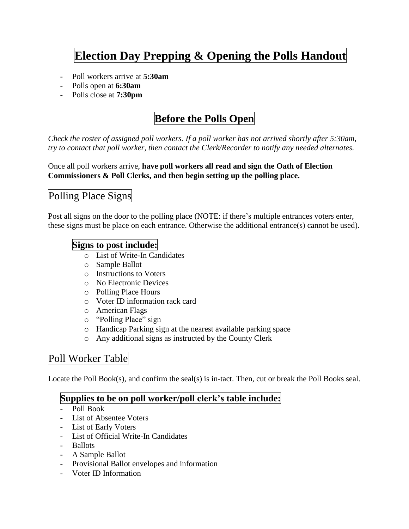# **Election Day Prepping & Opening the Polls Handout**

- Poll workers arrive at **5:30am**
- Polls open at **6:30am**
- Polls close at **7:30pm**

# **Before the Polls Open**

*Check the roster of assigned poll workers. If a poll worker has not arrived shortly after 5:30am, try to contact that poll worker, then contact the Clerk/Recorder to notify any needed alternates.*

Once all poll workers arrive, **have poll workers all read and sign the Oath of Election Commissioners & Poll Clerks, and then begin setting up the polling place.**

# Polling Place Signs

Post all signs on the door to the polling place (NOTE: if there's multiple entrances voters enter, these signs must be place on each entrance. Otherwise the additional entrance(s) cannot be used).

#### **Signs to post include:**

- o List of Write-In Candidates
- o Sample Ballot
- o Instructions to Voters
- o No Electronic Devices
- o Polling Place Hours
- o Voter ID information rack card
- o American Flags
- o "Polling Place" sign
- o Handicap Parking sign at the nearest available parking space
- o Any additional signs as instructed by the County Clerk

### Poll Worker Table

Locate the Poll Book(s), and confirm the seal(s) is in-tact. Then, cut or break the Poll Books seal.

#### **Supplies to be on poll worker/poll clerk's table include:**

- Poll Book
- List of Absentee Voters
- List of Early Voters
- List of Official Write-In Candidates
- Ballots
- A Sample Ballot
- Provisional Ballot envelopes and information
- Voter ID Information